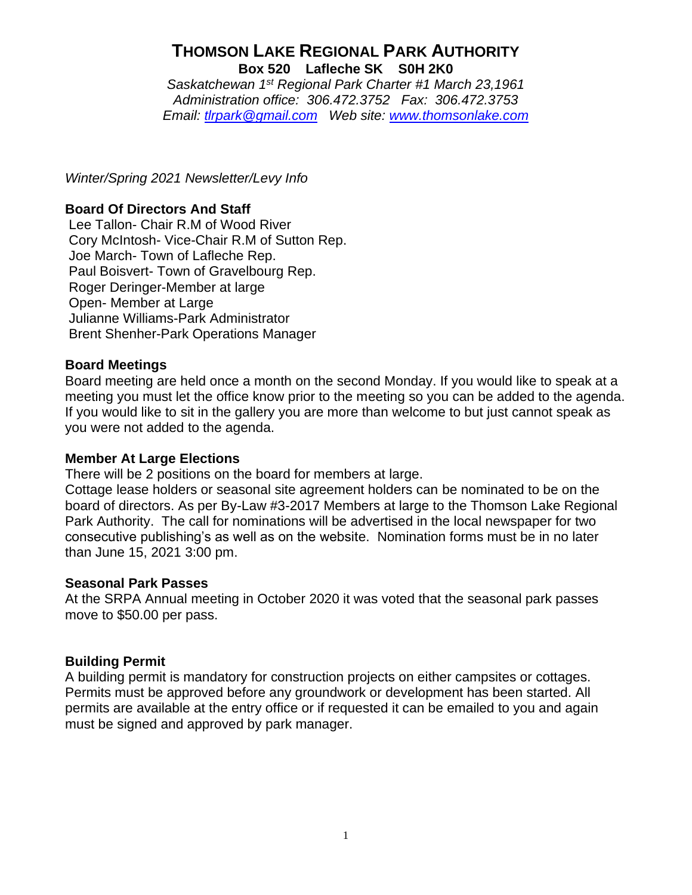# **THOMSON LAKE REGIONAL PARK AUTHORITY Box 520 Lafleche SK S0H 2K0**

*Saskatchewan 1st Regional Park Charter #1 March 23,1961 Administration office: 306.472.3752 Fax: 306.472.3753 Email: [tlrpark@gmail.com](mailto:tlrpark@gmail.com) Web site: [www.thomsonlake.com](http://www.thomsonlake.com/)*

*Winter/Spring 2021 Newsletter/Levy Info*

## **Board Of Directors And Staff**

Lee Tallon- Chair R.M of Wood River Cory McIntosh- Vice-Chair R.M of Sutton Rep. Joe March- Town of Lafleche Rep. Paul Boisvert- Town of Gravelbourg Rep. Roger Deringer-Member at large Open- Member at Large Julianne Williams-Park Administrator Brent Shenher-Park Operations Manager

## **Board Meetings**

Board meeting are held once a month on the second Monday. If you would like to speak at a meeting you must let the office know prior to the meeting so you can be added to the agenda. If you would like to sit in the gallery you are more than welcome to but just cannot speak as you were not added to the agenda.

#### **Member At Large Elections**

There will be 2 positions on the board for members at large.

Cottage lease holders or seasonal site agreement holders can be nominated to be on the board of directors. As per By-Law #3-2017 Members at large to the Thomson Lake Regional Park Authority. The call for nominations will be advertised in the local newspaper for two consecutive publishing's as well as on the website. Nomination forms must be in no later than June 15, 2021 3:00 pm.

#### **Seasonal Park Passes**

At the SRPA Annual meeting in October 2020 it was voted that the seasonal park passes move to \$50.00 per pass.

## **Building Permit**

A building permit is mandatory for construction projects on either campsites or cottages. Permits must be approved before any groundwork or development has been started. All permits are available at the entry office or if requested it can be emailed to you and again must be signed and approved by park manager.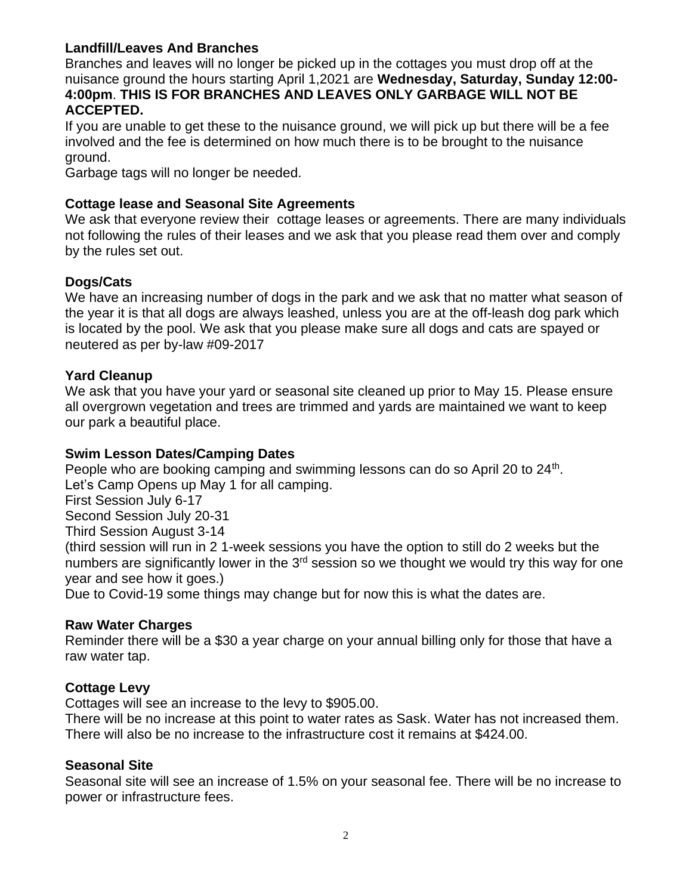## **Landfill/Leaves And Branches**

Branches and leaves will no longer be picked up in the cottages you must drop off at the nuisance ground the hours starting April 1,2021 are **Wednesday, Saturday, Sunday 12:00- 4:00pm**. **THIS IS FOR BRANCHES AND LEAVES ONLY GARBAGE WILL NOT BE ACCEPTED.** 

If you are unable to get these to the nuisance ground, we will pick up but there will be a fee involved and the fee is determined on how much there is to be brought to the nuisance ground.

Garbage tags will no longer be needed.

#### **Cottage lease and Seasonal Site Agreements**

We ask that everyone review their cottage leases or agreements. There are many individuals not following the rules of their leases and we ask that you please read them over and comply by the rules set out.

#### **Dogs/Cats**

We have an increasing number of dogs in the park and we ask that no matter what season of the year it is that all dogs are always leashed, unless you are at the off-leash dog park which is located by the pool. We ask that you please make sure all dogs and cats are spayed or neutered as per by-law #09-2017

#### **Yard Cleanup**

We ask that you have your yard or seasonal site cleaned up prior to May 15. Please ensure all overgrown vegetation and trees are trimmed and yards are maintained we want to keep our park a beautiful place.

#### **Swim Lesson Dates/Camping Dates**

People who are booking camping and swimming lessons can do so April 20 to 24<sup>th</sup>. Let's Camp Opens up May 1 for all camping. First Session July 6-17 Second Session July 20-31 Third Session August 3-14 (third session will run in 2 1-week sessions you have the option to still do 2 weeks but the numbers are significantly lower in the 3<sup>rd</sup> session so we thought we would try this way for one year and see how it goes.) Due to Covid-19 some things may change but for now this is what the dates are.

#### **Raw Water Charges**

Reminder there will be a \$30 a year charge on your annual billing only for those that have a raw water tap.

## **Cottage Levy**

Cottages will see an increase to the levy to \$905.00.

There will be no increase at this point to water rates as Sask. Water has not increased them. There will also be no increase to the infrastructure cost it remains at \$424.00.

#### **Seasonal Site**

Seasonal site will see an increase of 1.5% on your seasonal fee. There will be no increase to power or infrastructure fees.